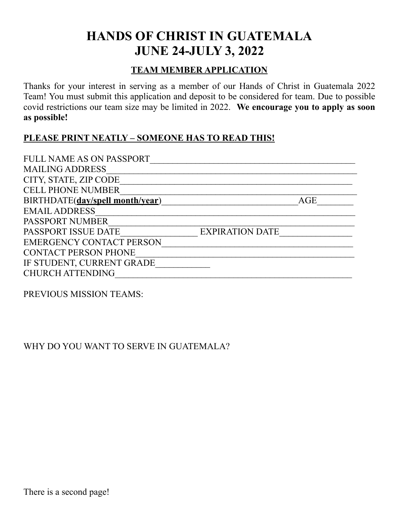# **HANDS OF CHRIST IN GUATEMALA JUNE 24-JULY 3, 2022**

## **TEAM MEMBER APPLICATION**

Thanks for your interest in serving as a member of our Hands of Christ in Guatemala 2022 Team! You must submit this application and deposit to be considered for team. Due to possible covid restrictions our team size may be limited in 2022. **We encourage you to apply as soon as possible!**

#### **PLEASE PRINT NEATLY – SOMEONE HAS TO READ THIS!**

| FULL NAME AS ON PASSPORT        |                        |
|---------------------------------|------------------------|
| <b>MAILING ADDRESS</b>          |                        |
| CITY, STATE, ZIP CODE           |                        |
| <b>CELL PHONE NUMBER</b>        |                        |
| BIRTHDATE(dav/spell month/year) | AGE                    |
| <b>EMAIL ADDRESS</b>            |                        |
| <b>PASSPORT NUMBER</b>          |                        |
| PASSPORT ISSUE DATE             | <b>EXPIRATION DATE</b> |
| <b>EMERGENCY CONTACT PERSON</b> |                        |
| <b>CONTACT PERSON PHONE</b>     |                        |
| IF STUDENT, CURRENT GRADE       |                        |
| <b>CHURCH ATTENDING</b>         |                        |

PREVIOUS MISSION TEAMS:

## WHY DO YOU WANT TO SERVE IN GUATEMALA?